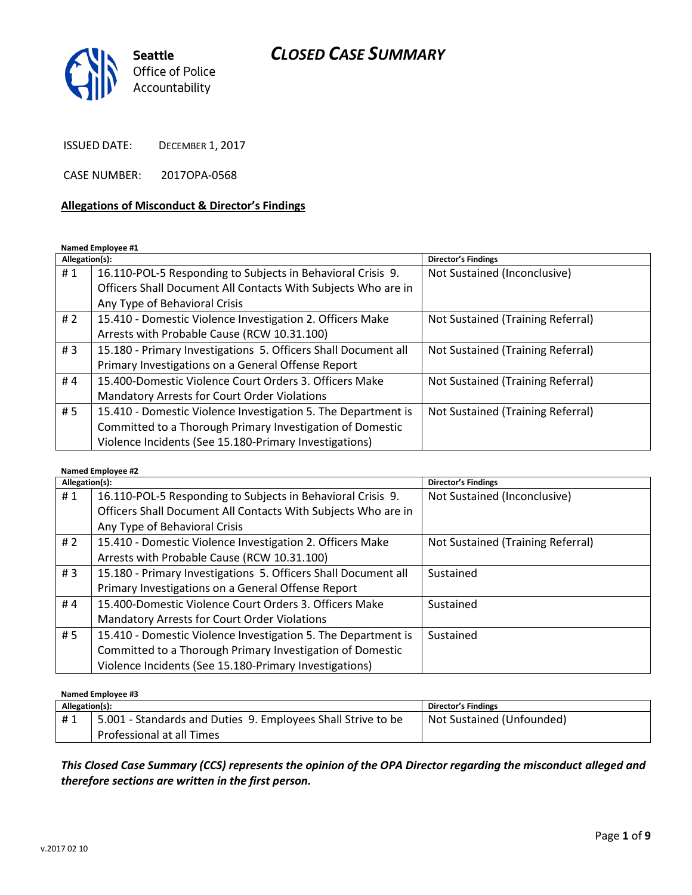

ISSUED DATE: DECEMBER 1, 2017

CASE NUMBER: 2017OPA-0568

#### **Allegations of Misconduct & Director's Findings**

**Named Employee #1**

| Allegation(s): |                                                                | Director's Findings               |
|----------------|----------------------------------------------------------------|-----------------------------------|
| #1             | 16.110-POL-5 Responding to Subjects in Behavioral Crisis 9.    | Not Sustained (Inconclusive)      |
|                | Officers Shall Document All Contacts With Subjects Who are in  |                                   |
|                | Any Type of Behavioral Crisis                                  |                                   |
| # 2            | 15.410 - Domestic Violence Investigation 2. Officers Make      | Not Sustained (Training Referral) |
|                | Arrests with Probable Cause (RCW 10.31.100)                    |                                   |
| #3             | 15.180 - Primary Investigations 5. Officers Shall Document all | Not Sustained (Training Referral) |
|                | Primary Investigations on a General Offense Report             |                                   |
| #4             | 15.400-Domestic Violence Court Orders 3. Officers Make         | Not Sustained (Training Referral) |
|                | <b>Mandatory Arrests for Court Order Violations</b>            |                                   |
| #5             | 15.410 - Domestic Violence Investigation 5. The Department is  | Not Sustained (Training Referral) |
|                | Committed to a Thorough Primary Investigation of Domestic      |                                   |
|                | Violence Incidents (See 15.180-Primary Investigations)         |                                   |

#### **Named Employee #2**

| Allegation(s): |                                                                | Director's Findings               |
|----------------|----------------------------------------------------------------|-----------------------------------|
| #1             | 16.110-POL-5 Responding to Subjects in Behavioral Crisis 9.    | Not Sustained (Inconclusive)      |
|                | Officers Shall Document All Contacts With Subjects Who are in  |                                   |
|                | Any Type of Behavioral Crisis                                  |                                   |
| # 2            | 15.410 - Domestic Violence Investigation 2. Officers Make      | Not Sustained (Training Referral) |
|                | Arrests with Probable Cause (RCW 10.31.100)                    |                                   |
| #3             | 15.180 - Primary Investigations 5. Officers Shall Document all | Sustained                         |
|                | Primary Investigations on a General Offense Report             |                                   |
| #4             | 15.400-Domestic Violence Court Orders 3. Officers Make         | Sustained                         |
|                | <b>Mandatory Arrests for Court Order Violations</b>            |                                   |
| #5             | 15.410 - Domestic Violence Investigation 5. The Department is  | Sustained                         |
|                | Committed to a Thorough Primary Investigation of Domestic      |                                   |
|                | Violence Incidents (See 15.180-Primary Investigations)         |                                   |

#### **Named Employee #3**

| Allegation(s): |                                                              | Director's Findings       |
|----------------|--------------------------------------------------------------|---------------------------|
| #1             | 5.001 - Standards and Duties 9. Employees Shall Strive to be | Not Sustained (Unfounded) |
|                | Professional at all Times                                    |                           |

*This Closed Case Summary (CCS) represents the opinion of the OPA Director regarding the misconduct alleged and therefore sections are written in the first person.*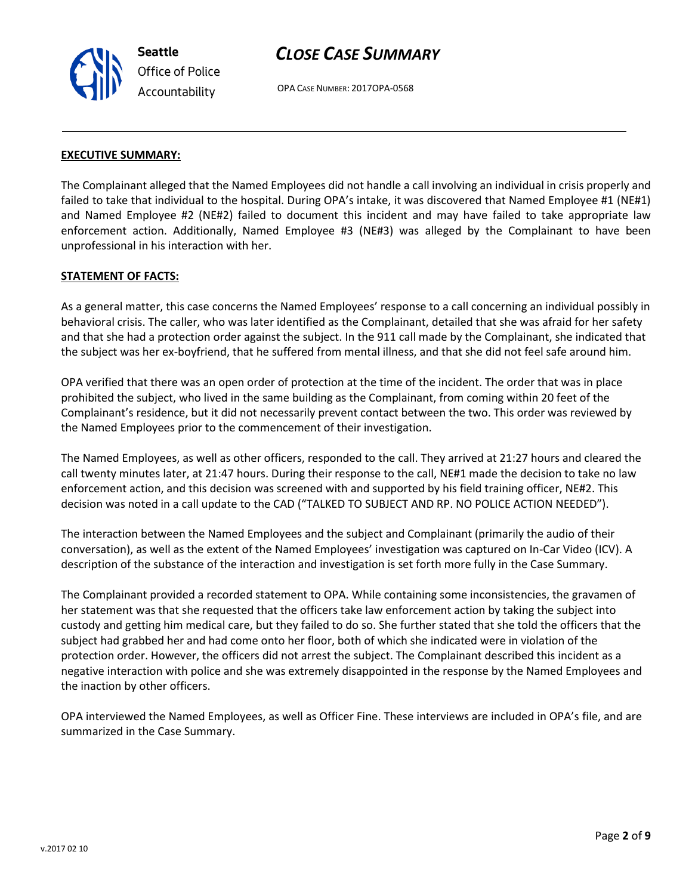OPA CASE NUMBER: 2017OPA-0568



**Seattle**

*Office of Police Accountability*

The Complainant alleged that the Named Employees did not handle a call involving an individual in crisis properly and failed to take that individual to the hospital. During OPA's intake, it was discovered that Named Employee #1 (NE#1) and Named Employee #2 (NE#2) failed to document this incident and may have failed to take appropriate law enforcement action. Additionally, Named Employee #3 (NE#3) was alleged by the Complainant to have been unprofessional in his interaction with her.

#### **STATEMENT OF FACTS:**

As a general matter, this case concerns the Named Employees' response to a call concerning an individual possibly in behavioral crisis. The caller, who was later identified as the Complainant, detailed that she was afraid for her safety and that she had a protection order against the subject. In the 911 call made by the Complainant, she indicated that the subject was her ex-boyfriend, that he suffered from mental illness, and that she did not feel safe around him.

OPA verified that there was an open order of protection at the time of the incident. The order that was in place prohibited the subject, who lived in the same building as the Complainant, from coming within 20 feet of the Complainant's residence, but it did not necessarily prevent contact between the two. This order was reviewed by the Named Employees prior to the commencement of their investigation.

The Named Employees, as well as other officers, responded to the call. They arrived at 21:27 hours and cleared the call twenty minutes later, at 21:47 hours. During their response to the call, NE#1 made the decision to take no law enforcement action, and this decision was screened with and supported by his field training officer, NE#2. This decision was noted in a call update to the CAD ("TALKED TO SUBJECT AND RP. NO POLICE ACTION NEEDED").

The interaction between the Named Employees and the subject and Complainant (primarily the audio of their conversation), as well as the extent of the Named Employees' investigation was captured on In-Car Video (ICV). A description of the substance of the interaction and investigation is set forth more fully in the Case Summary.

The Complainant provided a recorded statement to OPA. While containing some inconsistencies, the gravamen of her statement was that she requested that the officers take law enforcement action by taking the subject into custody and getting him medical care, but they failed to do so. She further stated that she told the officers that the subject had grabbed her and had come onto her floor, both of which she indicated were in violation of the protection order. However, the officers did not arrest the subject. The Complainant described this incident as a negative interaction with police and she was extremely disappointed in the response by the Named Employees and the inaction by other officers.

OPA interviewed the Named Employees, as well as Officer Fine. These interviews are included in OPA's file, and are summarized in the Case Summary.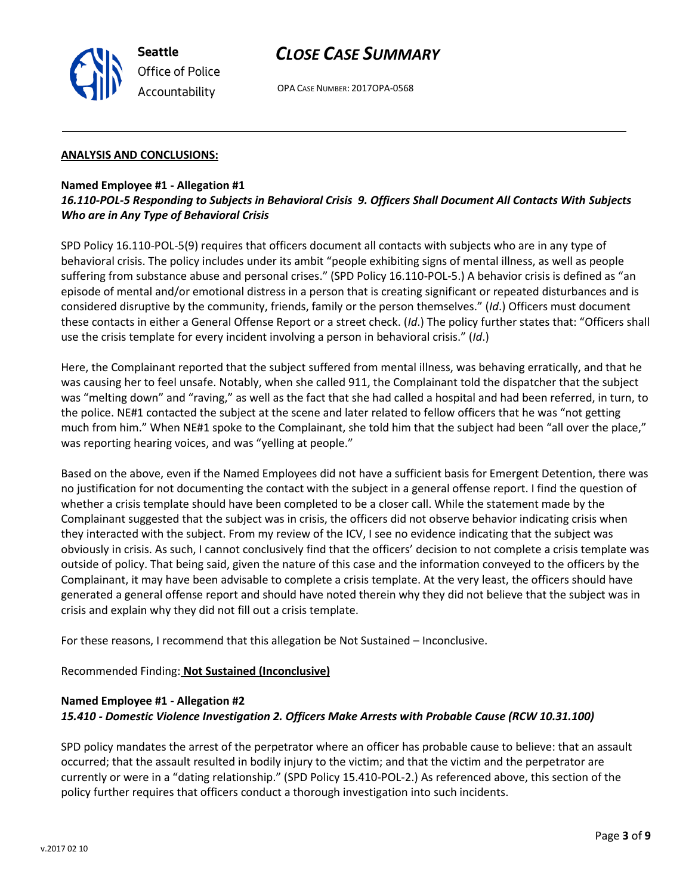OPA CASE NUMBER: 2017OPA-0568

### **ANALYSIS AND CONCLUSIONS:**

## **Named Employee #1 - Allegation #1**

## *16.110-POL-5 Responding to Subjects in Behavioral Crisis 9. Officers Shall Document All Contacts With Subjects Who are in Any Type of Behavioral Crisis*

SPD Policy 16.110-POL-5(9) requires that officers document all contacts with subjects who are in any type of behavioral crisis. The policy includes under its ambit "people exhibiting signs of mental illness, as well as people suffering from substance abuse and personal crises." (SPD Policy 16.110-POL-5.) A behavior crisis is defined as "an episode of mental and/or emotional distress in a person that is creating significant or repeated disturbances and is considered disruptive by the community, friends, family or the person themselves." (*Id*.) Officers must document these contacts in either a General Offense Report or a street check. (*Id*.) The policy further states that: "Officers shall use the crisis template for every incident involving a person in behavioral crisis." (*Id*.)

Here, the Complainant reported that the subject suffered from mental illness, was behaving erratically, and that he was causing her to feel unsafe. Notably, when she called 911, the Complainant told the dispatcher that the subject was "melting down" and "raving," as well as the fact that she had called a hospital and had been referred, in turn, to the police. NE#1 contacted the subject at the scene and later related to fellow officers that he was "not getting much from him." When NE#1 spoke to the Complainant, she told him that the subject had been "all over the place," was reporting hearing voices, and was "yelling at people."

Based on the above, even if the Named Employees did not have a sufficient basis for Emergent Detention, there was no justification for not documenting the contact with the subject in a general offense report. I find the question of whether a crisis template should have been completed to be a closer call. While the statement made by the Complainant suggested that the subject was in crisis, the officers did not observe behavior indicating crisis when they interacted with the subject. From my review of the ICV, I see no evidence indicating that the subject was obviously in crisis. As such, I cannot conclusively find that the officers' decision to not complete a crisis template was outside of policy. That being said, given the nature of this case and the information conveyed to the officers by the Complainant, it may have been advisable to complete a crisis template. At the very least, the officers should have generated a general offense report and should have noted therein why they did not believe that the subject was in crisis and explain why they did not fill out a crisis template.

For these reasons, I recommend that this allegation be Not Sustained – Inconclusive.

Recommended Finding: **Not Sustained (Inconclusive)**

### **Named Employee #1 - Allegation #2**

### *15.410 - Domestic Violence Investigation 2. Officers Make Arrests with Probable Cause (RCW 10.31.100)*

SPD policy mandates the arrest of the perpetrator where an officer has probable cause to believe: that an assault occurred; that the assault resulted in bodily injury to the victim; and that the victim and the perpetrator are currently or were in a "dating relationship." (SPD Policy 15.410-POL-2.) As referenced above, this section of the policy further requires that officers conduct a thorough investigation into such incidents.



**Seattle** *Office of Police Accountability*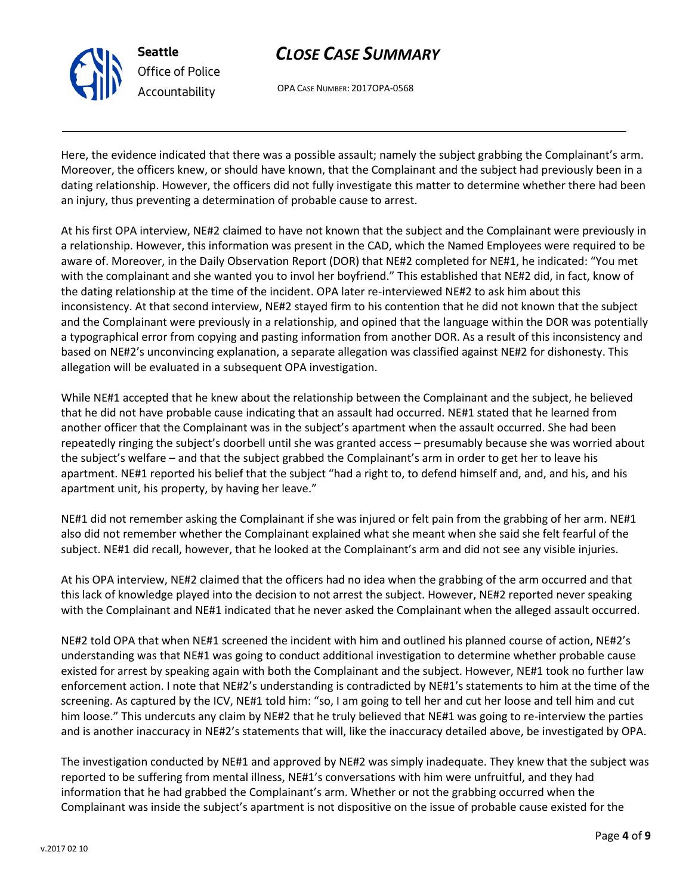

OPA CASE NUMBER: 2017OPA-0568

Here, the evidence indicated that there was a possible assault; namely the subject grabbing the Complainant's arm. Moreover, the officers knew, or should have known, that the Complainant and the subject had previously been in a dating relationship. However, the officers did not fully investigate this matter to determine whether there had been an injury, thus preventing a determination of probable cause to arrest.

At his first OPA interview, NE#2 claimed to have not known that the subject and the Complainant were previously in a relationship. However, this information was present in the CAD, which the Named Employees were required to be aware of. Moreover, in the Daily Observation Report (DOR) that NE#2 completed for NE#1, he indicated: "You met with the complainant and she wanted you to invol her boyfriend." This established that NE#2 did, in fact, know of the dating relationship at the time of the incident. OPA later re-interviewed NE#2 to ask him about this inconsistency. At that second interview, NE#2 stayed firm to his contention that he did not known that the subject and the Complainant were previously in a relationship, and opined that the language within the DOR was potentially a typographical error from copying and pasting information from another DOR. As a result of this inconsistency and based on NE#2's unconvincing explanation, a separate allegation was classified against NE#2 for dishonesty. This allegation will be evaluated in a subsequent OPA investigation.

While NE#1 accepted that he knew about the relationship between the Complainant and the subject, he believed that he did not have probable cause indicating that an assault had occurred. NE#1 stated that he learned from another officer that the Complainant was in the subject's apartment when the assault occurred. She had been repeatedly ringing the subject's doorbell until she was granted access – presumably because she was worried about the subject's welfare – and that the subject grabbed the Complainant's arm in order to get her to leave his apartment. NE#1 reported his belief that the subject "had a right to, to defend himself and, and, and his, and his apartment unit, his property, by having her leave."

NE#1 did not remember asking the Complainant if she was injured or felt pain from the grabbing of her arm. NE#1 also did not remember whether the Complainant explained what she meant when she said she felt fearful of the subject. NE#1 did recall, however, that he looked at the Complainant's arm and did not see any visible injuries.

At his OPA interview, NE#2 claimed that the officers had no idea when the grabbing of the arm occurred and that this lack of knowledge played into the decision to not arrest the subject. However, NE#2 reported never speaking with the Complainant and NE#1 indicated that he never asked the Complainant when the alleged assault occurred.

NE#2 told OPA that when NE#1 screened the incident with him and outlined his planned course of action, NE#2's understanding was that NE#1 was going to conduct additional investigation to determine whether probable cause existed for arrest by speaking again with both the Complainant and the subject. However, NE#1 took no further law enforcement action. I note that NE#2's understanding is contradicted by NE#1's statements to him at the time of the screening. As captured by the ICV, NE#1 told him: "so, I am going to tell her and cut her loose and tell him and cut him loose." This undercuts any claim by NE#2 that he truly believed that NE#1 was going to re-interview the parties and is another inaccuracy in NE#2's statements that will, like the inaccuracy detailed above, be investigated by OPA.

The investigation conducted by NE#1 and approved by NE#2 was simply inadequate. They knew that the subject was reported to be suffering from mental illness, NE#1's conversations with him were unfruitful, and they had information that he had grabbed the Complainant's arm. Whether or not the grabbing occurred when the Complainant was inside the subject's apartment is not dispositive on the issue of probable cause existed for the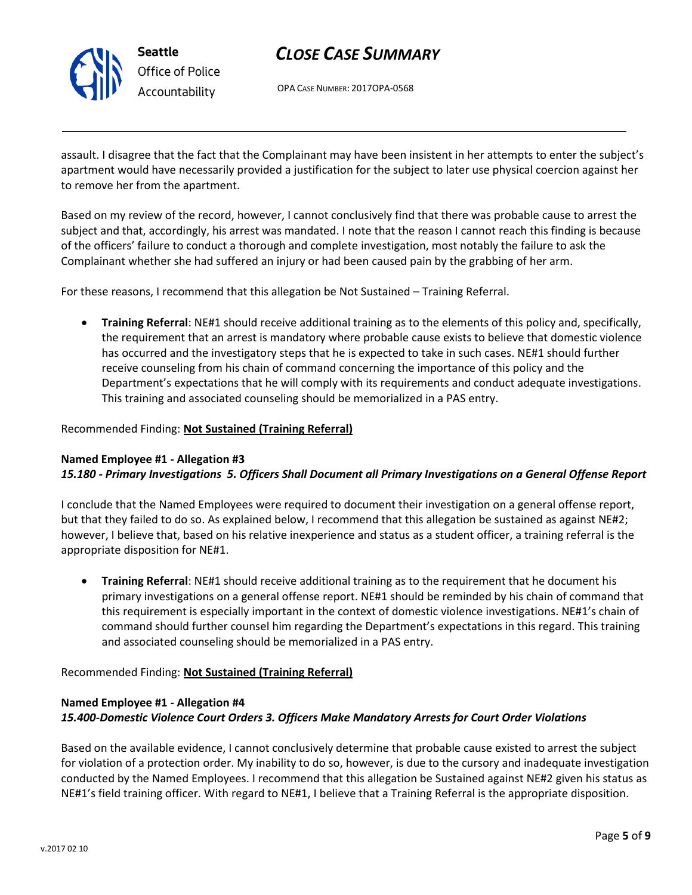

OPA CASE NUMBER: 2017OPA-0568

assault. I disagree that the fact that the Complainant may have been insistent in her attempts to enter the subject's apartment would have necessarily provided a justification for the subject to later use physical coercion against her to remove her from the apartment.

Based on my review of the record, however, I cannot conclusively find that there was probable cause to arrest the subject and that, accordingly, his arrest was mandated. I note that the reason I cannot reach this finding is because of the officers' failure to conduct a thorough and complete investigation, most notably the failure to ask the Complainant whether she had suffered an injury or had been caused pain by the grabbing of her arm.

For these reasons, I recommend that this allegation be Not Sustained – Training Referral.

• **Training Referral**: NE#1 should receive additional training as to the elements of this policy and, specifically, the requirement that an arrest is mandatory where probable cause exists to believe that domestic violence has occurred and the investigatory steps that he is expected to take in such cases. NE#1 should further receive counseling from his chain of command concerning the importance of this policy and the Department's expectations that he will comply with its requirements and conduct adequate investigations. This training and associated counseling should be memorialized in a PAS entry.

### Recommended Finding: **Not Sustained (Training Referral)**

#### **Named Employee #1 - Allegation #3** *15.180 - Primary Investigations 5. Officers Shall Document all Primary Investigations on a General Offense Report*

I conclude that the Named Employees were required to document their investigation on a general offense report, but that they failed to do so. As explained below, I recommend that this allegation be sustained as against NE#2; however, I believe that, based on his relative inexperience and status as a student officer, a training referral is the appropriate disposition for NE#1.

• **Training Referral**: NE#1 should receive additional training as to the requirement that he document his primary investigations on a general offense report. NE#1 should be reminded by his chain of command that this requirement is especially important in the context of domestic violence investigations. NE#1's chain of command should further counsel him regarding the Department's expectations in this regard. This training and associated counseling should be memorialized in a PAS entry.

### Recommended Finding: **Not Sustained (Training Referral)**

## **Named Employee #1 - Allegation #4** *15.400-Domestic Violence Court Orders 3. Officers Make Mandatory Arrests for Court Order Violations*

Based on the available evidence, I cannot conclusively determine that probable cause existed to arrest the subject for violation of a protection order. My inability to do so, however, is due to the cursory and inadequate investigation conducted by the Named Employees. I recommend that this allegation be Sustained against NE#2 given his status as NE#1's field training officer. With regard to NE#1, I believe that a Training Referral is the appropriate disposition.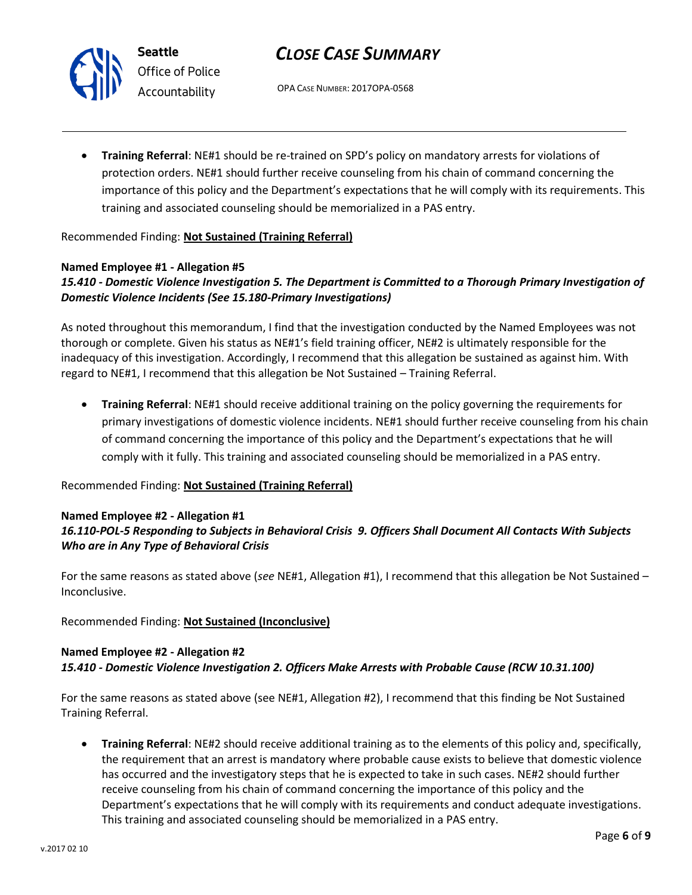



*Office of Police Accountability*

OPA CASE NUMBER: 2017OPA-0568

• **Training Referral**: NE#1 should be re-trained on SPD's policy on mandatory arrests for violations of protection orders. NE#1 should further receive counseling from his chain of command concerning the importance of this policy and the Department's expectations that he will comply with its requirements. This training and associated counseling should be memorialized in a PAS entry.

## Recommended Finding: **Not Sustained (Training Referral)**

## **Named Employee #1 - Allegation #5**

## *15.410 - Domestic Violence Investigation 5. The Department is Committed to a Thorough Primary Investigation of Domestic Violence Incidents (See 15.180-Primary Investigations)*

As noted throughout this memorandum, I find that the investigation conducted by the Named Employees was not thorough or complete. Given his status as NE#1's field training officer, NE#2 is ultimately responsible for the inadequacy of this investigation. Accordingly, I recommend that this allegation be sustained as against him. With regard to NE#1, I recommend that this allegation be Not Sustained – Training Referral.

• **Training Referral**: NE#1 should receive additional training on the policy governing the requirements for primary investigations of domestic violence incidents. NE#1 should further receive counseling from his chain of command concerning the importance of this policy and the Department's expectations that he will comply with it fully. This training and associated counseling should be memorialized in a PAS entry.

## Recommended Finding: **Not Sustained (Training Referral)**

### **Named Employee #2 - Allegation #1**

## *16.110-POL-5 Responding to Subjects in Behavioral Crisis 9. Officers Shall Document All Contacts With Subjects Who are in Any Type of Behavioral Crisis*

For the same reasons as stated above (*see* NE#1, Allegation #1), I recommend that this allegation be Not Sustained – Inconclusive.

## Recommended Finding: **Not Sustained (Inconclusive)**

## **Named Employee #2 - Allegation #2** *15.410 - Domestic Violence Investigation 2. Officers Make Arrests with Probable Cause (RCW 10.31.100)*

For the same reasons as stated above (see NE#1, Allegation #2), I recommend that this finding be Not Sustained Training Referral.

• **Training Referral**: NE#2 should receive additional training as to the elements of this policy and, specifically, the requirement that an arrest is mandatory where probable cause exists to believe that domestic violence has occurred and the investigatory steps that he is expected to take in such cases. NE#2 should further receive counseling from his chain of command concerning the importance of this policy and the Department's expectations that he will comply with its requirements and conduct adequate investigations. This training and associated counseling should be memorialized in a PAS entry.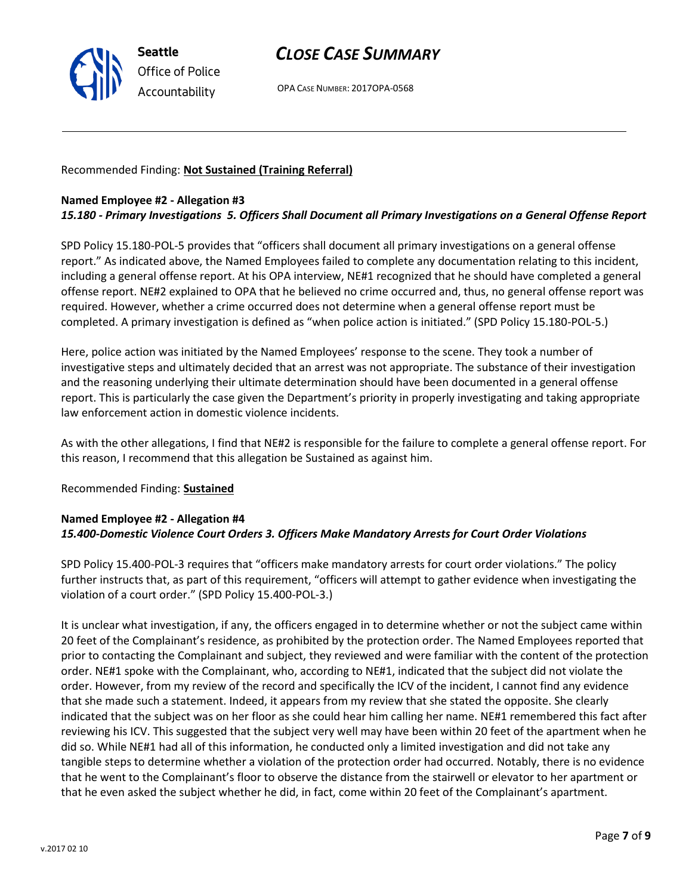

OPA CASE NUMBER: 2017OPA-0568

### Recommended Finding: **Not Sustained (Training Referral)**

### **Named Employee #2 - Allegation #3**

## *15.180 - Primary Investigations 5. Officers Shall Document all Primary Investigations on a General Offense Report*

SPD Policy 15.180-POL-5 provides that "officers shall document all primary investigations on a general offense report." As indicated above, the Named Employees failed to complete any documentation relating to this incident, including a general offense report. At his OPA interview, NE#1 recognized that he should have completed a general offense report. NE#2 explained to OPA that he believed no crime occurred and, thus, no general offense report was required. However, whether a crime occurred does not determine when a general offense report must be completed. A primary investigation is defined as "when police action is initiated." (SPD Policy 15.180-POL-5.)

Here, police action was initiated by the Named Employees' response to the scene. They took a number of investigative steps and ultimately decided that an arrest was not appropriate. The substance of their investigation and the reasoning underlying their ultimate determination should have been documented in a general offense report. This is particularly the case given the Department's priority in properly investigating and taking appropriate law enforcement action in domestic violence incidents.

As with the other allegations, I find that NE#2 is responsible for the failure to complete a general offense report. For this reason, I recommend that this allegation be Sustained as against him.

### Recommended Finding: **Sustained**

## **Named Employee #2 - Allegation #4** *15.400-Domestic Violence Court Orders 3. Officers Make Mandatory Arrests for Court Order Violations*

SPD Policy 15.400-POL-3 requires that "officers make mandatory arrests for court order violations." The policy further instructs that, as part of this requirement, "officers will attempt to gather evidence when investigating the violation of a court order." (SPD Policy 15.400-POL-3.)

It is unclear what investigation, if any, the officers engaged in to determine whether or not the subject came within 20 feet of the Complainant's residence, as prohibited by the protection order. The Named Employees reported that prior to contacting the Complainant and subject, they reviewed and were familiar with the content of the protection order. NE#1 spoke with the Complainant, who, according to NE#1, indicated that the subject did not violate the order. However, from my review of the record and specifically the ICV of the incident, I cannot find any evidence that she made such a statement. Indeed, it appears from my review that she stated the opposite. She clearly indicated that the subject was on her floor as she could hear him calling her name. NE#1 remembered this fact after reviewing his ICV. This suggested that the subject very well may have been within 20 feet of the apartment when he did so. While NE#1 had all of this information, he conducted only a limited investigation and did not take any tangible steps to determine whether a violation of the protection order had occurred. Notably, there is no evidence that he went to the Complainant's floor to observe the distance from the stairwell or elevator to her apartment or that he even asked the subject whether he did, in fact, come within 20 feet of the Complainant's apartment.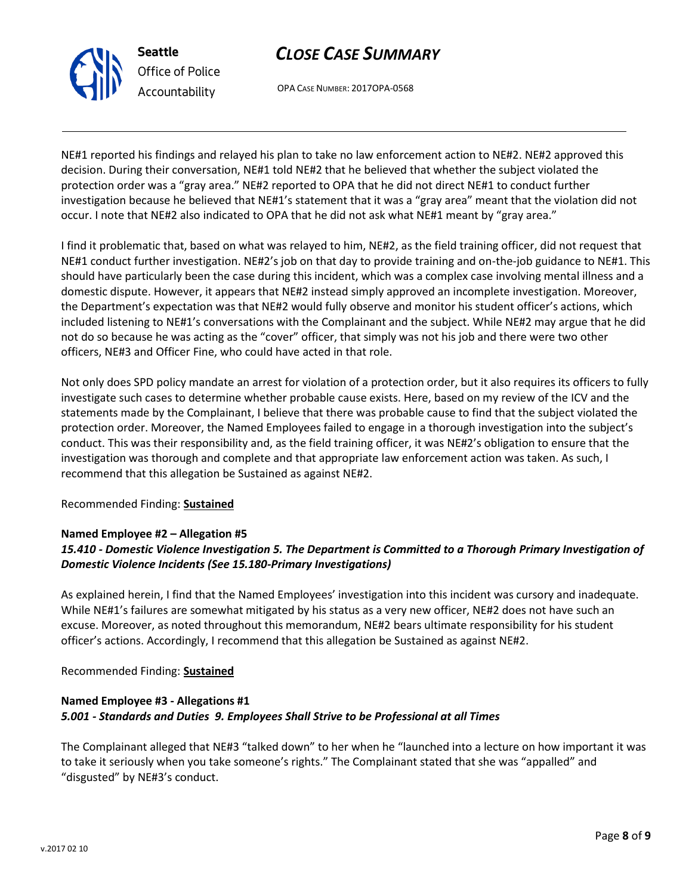

OPA CASE NUMBER: 2017OPA-0568

NE#1 reported his findings and relayed his plan to take no law enforcement action to NE#2. NE#2 approved this decision. During their conversation, NE#1 told NE#2 that he believed that whether the subject violated the protection order was a "gray area." NE#2 reported to OPA that he did not direct NE#1 to conduct further investigation because he believed that NE#1's statement that it was a "gray area" meant that the violation did not occur. I note that NE#2 also indicated to OPA that he did not ask what NE#1 meant by "gray area."

I find it problematic that, based on what was relayed to him, NE#2, as the field training officer, did not request that NE#1 conduct further investigation. NE#2's job on that day to provide training and on-the-job guidance to NE#1. This should have particularly been the case during this incident, which was a complex case involving mental illness and a domestic dispute. However, it appears that NE#2 instead simply approved an incomplete investigation. Moreover, the Department's expectation was that NE#2 would fully observe and monitor his student officer's actions, which included listening to NE#1's conversations with the Complainant and the subject. While NE#2 may argue that he did not do so because he was acting as the "cover" officer, that simply was not his job and there were two other officers, NE#3 and Officer Fine, who could have acted in that role.

Not only does SPD policy mandate an arrest for violation of a protection order, but it also requires its officers to fully investigate such cases to determine whether probable cause exists. Here, based on my review of the ICV and the statements made by the Complainant, I believe that there was probable cause to find that the subject violated the protection order. Moreover, the Named Employees failed to engage in a thorough investigation into the subject's conduct. This was their responsibility and, as the field training officer, it was NE#2's obligation to ensure that the investigation was thorough and complete and that appropriate law enforcement action was taken. As such, I recommend that this allegation be Sustained as against NE#2.

## Recommended Finding: **Sustained**

### **Named Employee #2 – Allegation #5**

## *15.410 - Domestic Violence Investigation 5. The Department is Committed to a Thorough Primary Investigation of Domestic Violence Incidents (See 15.180-Primary Investigations)*

As explained herein, I find that the Named Employees' investigation into this incident was cursory and inadequate. While NE#1's failures are somewhat mitigated by his status as a very new officer, NE#2 does not have such an excuse. Moreover, as noted throughout this memorandum, NE#2 bears ultimate responsibility for his student officer's actions. Accordingly, I recommend that this allegation be Sustained as against NE#2.

Recommended Finding: **Sustained**

## **Named Employee #3 - Allegations #1** *5.001 - Standards and Duties 9. Employees Shall Strive to be Professional at all Times*

The Complainant alleged that NE#3 "talked down" to her when he "launched into a lecture on how important it was to take it seriously when you take someone's rights." The Complainant stated that she was "appalled" and "disgusted" by NE#3's conduct.